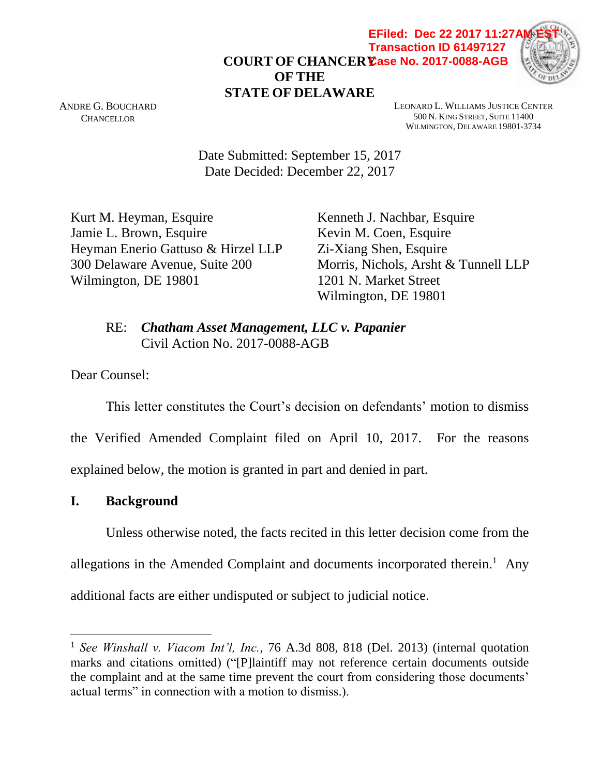**COURT OF CHANCERY Case No. 2017-0088-AGBOF THE STATE OF DELAWARE EFiled: Dec 22 2017 11:27 Transaction ID 61497127**



ANDRE G. BOUCHARD **CHANCELLOR** 

LEONARD L. WILLIAMS JUSTICE CENTER 500 N. KING STREET, SUITE 11400 WILMINGTON, DELAWARE 19801-3734

Date Submitted: September 15, 2017 Date Decided: December 22, 2017

Kurt M. Heyman, Esquire Kenneth J. Nachbar, Esquire Jamie L. Brown, Esquire Kevin M. Coen, Esquire Heyman Enerio Gattuso & Hirzel LLP Zi-Xiang Shen, Esquire 300 Delaware Avenue, Suite 200 Morris, Nichols, Arsht & Tunnell LLP Wilmington, DE 19801 1201 N. Market Street

Wilmington, DE 19801

RE: *Chatham Asset Management, LLC v. Papanier* Civil Action No. 2017-0088-AGB

Dear Counsel:

This letter constitutes the Court's decision on defendants' motion to dismiss the Verified Amended Complaint filed on April 10, 2017. For the reasons explained below, the motion is granted in part and denied in part.

**I. Background** 

 $\overline{a}$ 

Unless otherwise noted, the facts recited in this letter decision come from the

allegations in the Amended Complaint and documents incorporated therein.<sup>1</sup> Any

additional facts are either undisputed or subject to judicial notice.

<sup>1</sup> *See Winshall v. Viacom Int'l, Inc.*, 76 A.3d 808, 818 (Del. 2013) (internal quotation marks and citations omitted) ("[P]laintiff may not reference certain documents outside the complaint and at the same time prevent the court from considering those documents' actual terms" in connection with a motion to dismiss.).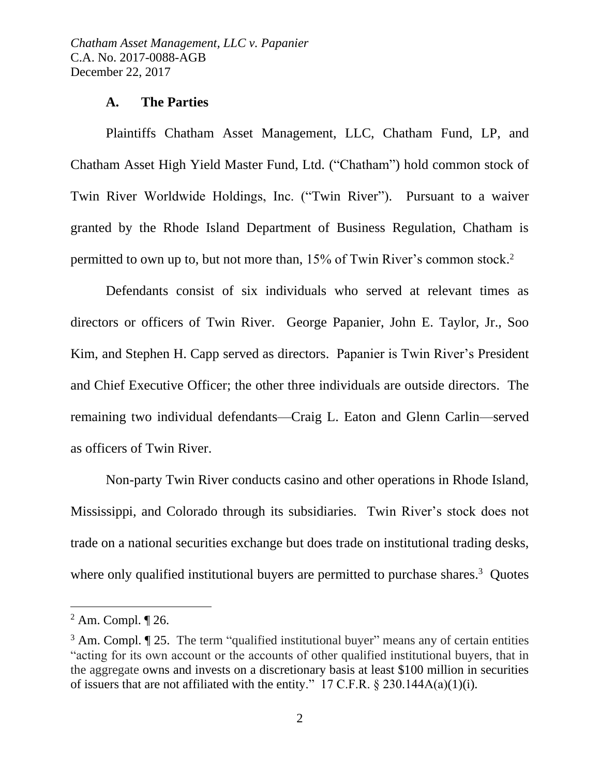#### **A. The Parties**

Plaintiffs Chatham Asset Management, LLC, Chatham Fund, LP, and Chatham Asset High Yield Master Fund, Ltd. ("Chatham") hold common stock of Twin River Worldwide Holdings, Inc. ("Twin River"). Pursuant to a waiver granted by the Rhode Island Department of Business Regulation, Chatham is permitted to own up to, but not more than, 15% of Twin River's common stock. 2

Defendants consist of six individuals who served at relevant times as directors or officers of Twin River. George Papanier, John E. Taylor, Jr., Soo Kim, and Stephen H. Capp served as directors. Papanier is Twin River's President and Chief Executive Officer; the other three individuals are outside directors. The remaining two individual defendants—Craig L. Eaton and Glenn Carlin—served as officers of Twin River.

Non-party Twin River conducts casino and other operations in Rhode Island, Mississippi, and Colorado through its subsidiaries. Twin River's stock does not trade on a national securities exchange but does trade on institutional trading desks, where only qualified institutional buyers are permitted to purchase shares.<sup>3</sup> Quotes

<sup>2</sup> Am. Compl. ¶ 26.

<sup>&</sup>lt;sup>3</sup> Am. Compl. **[25.** The term "qualified institutional buyer" means any of certain entities "acting for its own account or the accounts of other qualified institutional buyers, that in the aggregate owns and invests on a discretionary basis at least \$100 million in securities of issuers that are not affiliated with the entity." 17 C.F.R.  $\S$  230.144A(a)(1)(i).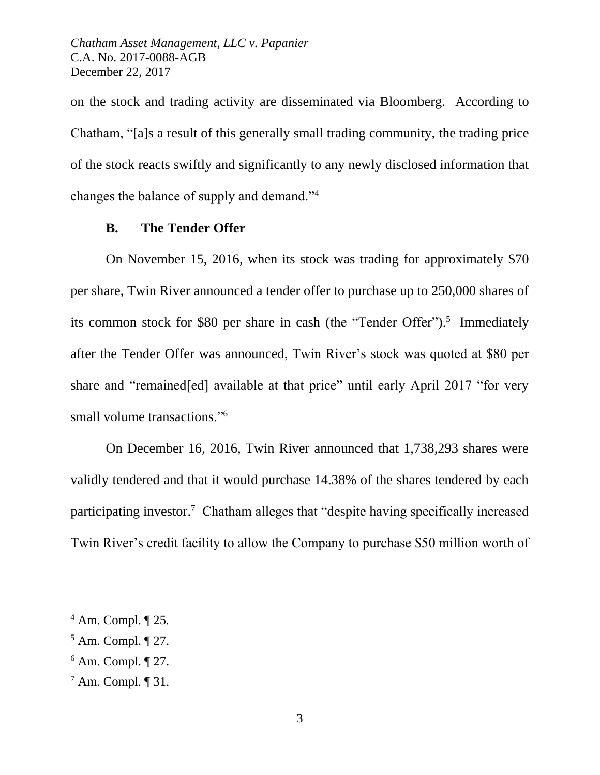on the stock and trading activity are disseminated via Bloomberg. According to Chatham, "[a]s a result of this generally small trading community, the trading price of the stock reacts swiftly and significantly to any newly disclosed information that changes the balance of supply and demand."<sup>4</sup>

## **B. The Tender Offer**

On November 15, 2016, when its stock was trading for approximately \$70 per share, Twin River announced a tender offer to purchase up to 250,000 shares of its common stock for \$80 per share in cash (the "Tender Offer"). 5 Immediately after the Tender Offer was announced, Twin River's stock was quoted at \$80 per share and "remained[ed] available at that price" until early April 2017 "for very small volume transactions."<sup>6</sup>

On December 16, 2016, Twin River announced that 1,738,293 shares were validly tendered and that it would purchase 14.38% of the shares tendered by each participating investor.<sup>7</sup> Chatham alleges that "despite having specifically increased Twin River's credit facility to allow the Company to purchase \$50 million worth of

<sup>4</sup> Am. Compl. ¶ 25*.* 

<sup>5</sup> Am. Compl. ¶ 27.

 $6$  Am. Compl.  $\P$  27.

<sup>7</sup> Am. Compl. ¶ 31.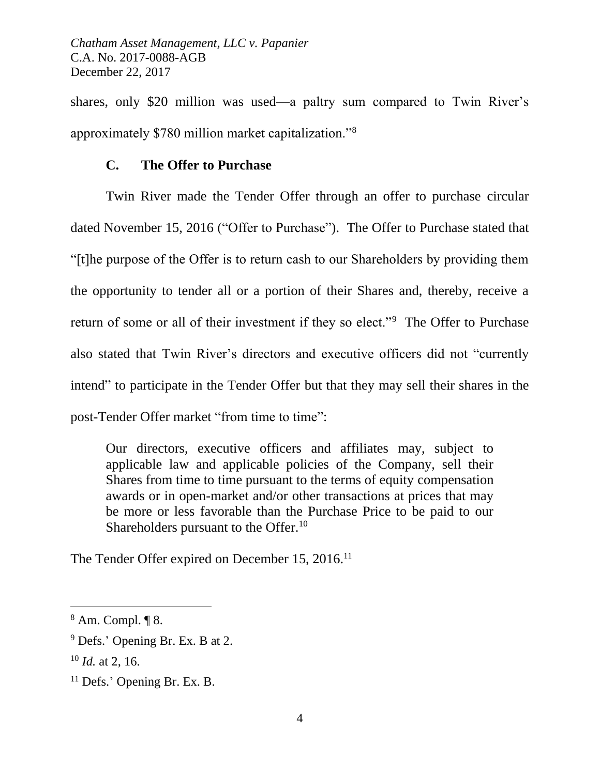shares, only \$20 million was used—a paltry sum compared to Twin River's approximately \$780 million market capitalization."<sup>8</sup>

### **C. The Offer to Purchase**

Twin River made the Tender Offer through an offer to purchase circular dated November 15, 2016 ("Offer to Purchase"). The Offer to Purchase stated that "[t]he purpose of the Offer is to return cash to our Shareholders by providing them the opportunity to tender all or a portion of their Shares and, thereby, receive a return of some or all of their investment if they so elect."<sup>9</sup> The Offer to Purchase also stated that Twin River's directors and executive officers did not "currently intend" to participate in the Tender Offer but that they may sell their shares in the post-Tender Offer market "from time to time":

Our directors, executive officers and affiliates may, subject to applicable law and applicable policies of the Company, sell their Shares from time to time pursuant to the terms of equity compensation awards or in open-market and/or other transactions at prices that may be more or less favorable than the Purchase Price to be paid to our Shareholders pursuant to the Offer.<sup>10</sup>

The Tender Offer expired on December 15, 2016.<sup>11</sup>

<sup>8</sup> Am. Compl. ¶ 8.

<sup>9</sup> Defs.' Opening Br. Ex. B at 2.

<sup>10</sup> *Id.* at 2, 16.

<sup>&</sup>lt;sup>11</sup> Defs.' Opening Br. Ex. B.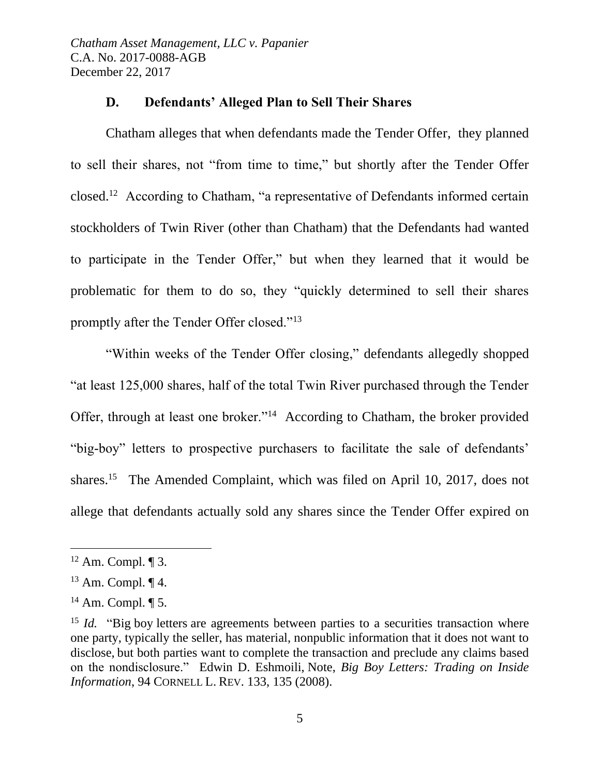### **D. Defendants' Alleged Plan to Sell Their Shares**

Chatham alleges that when defendants made the Tender Offer, they planned to sell their shares, not "from time to time," but shortly after the Tender Offer closed.<sup>12</sup> According to Chatham, "a representative of Defendants informed certain stockholders of Twin River (other than Chatham) that the Defendants had wanted to participate in the Tender Offer," but when they learned that it would be problematic for them to do so, they "quickly determined to sell their shares promptly after the Tender Offer closed."<sup>13</sup>

"Within weeks of the Tender Offer closing," defendants allegedly shopped "at least 125,000 shares, half of the total Twin River purchased through the Tender Offer, through at least one broker."<sup>14</sup> According to Chatham, the broker provided "big-boy" letters to prospective purchasers to facilitate the sale of defendants' shares.<sup>15</sup> The Amended Complaint, which was filed on April 10, 2017, does not allege that defendants actually sold any shares since the Tender Offer expired on

 $12$  Am. Compl.  $\P$  3.

 $13$  Am. Compl.  $\P$  4.

 $14$  Am. Compl.  $\P$  5.

<sup>&</sup>lt;sup>15</sup> *Id.* "Big boy letters are agreements between parties to a securities transaction where one party, typically the seller, has material, nonpublic information that it does not want to disclose, but both parties want to complete the transaction and preclude any claims based on the nondisclosure." Edwin D. Eshmoili, Note, *Big Boy Letters: Trading on Inside Information*, 94 CORNELL L. REV. 133, 135 (2008).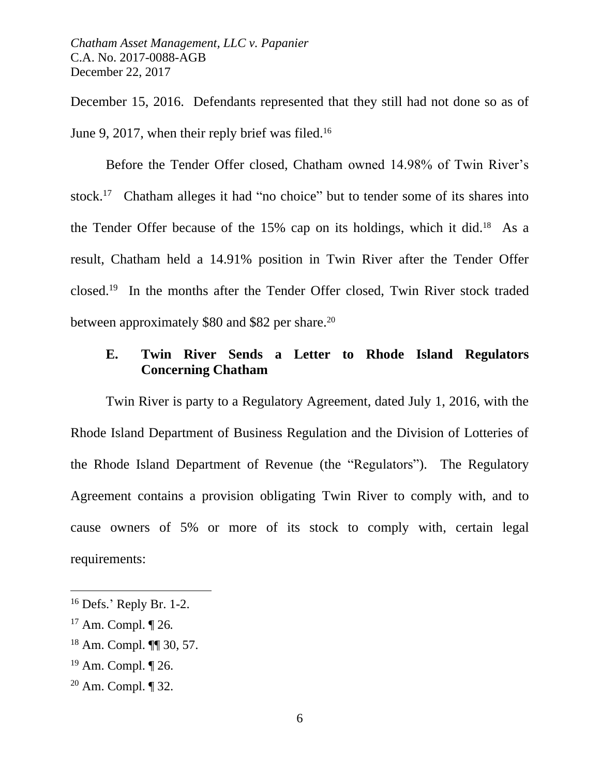December 15, 2016. Defendants represented that they still had not done so as of June 9, 2017, when their reply brief was filed.<sup>16</sup>

Before the Tender Offer closed, Chatham owned 14.98% of Twin River's stock.<sup>17</sup> Chatham alleges it had "no choice" but to tender some of its shares into the Tender Offer because of the  $15\%$  cap on its holdings, which it did.<sup>18</sup> As a result, Chatham held a 14.91% position in Twin River after the Tender Offer closed. 19 In the months after the Tender Offer closed, Twin River stock traded between approximately \$80 and \$82 per share.<sup>20</sup>

## **E. Twin River Sends a Letter to Rhode Island Regulators Concerning Chatham**

Twin River is party to a Regulatory Agreement, dated July 1, 2016, with the Rhode Island Department of Business Regulation and the Division of Lotteries of the Rhode Island Department of Revenue (the "Regulators"). The Regulatory Agreement contains a provision obligating Twin River to comply with, and to cause owners of 5% or more of its stock to comply with, certain legal requirements:

<sup>16</sup> Defs.' Reply Br. 1-2.

<sup>17</sup> Am. Compl. ¶ 26*.* 

<sup>18</sup> Am. Compl. ¶¶ 30, 57.

 $19$  Am. Compl.  $\P$  26.

<sup>20</sup> Am. Compl. ¶ 32.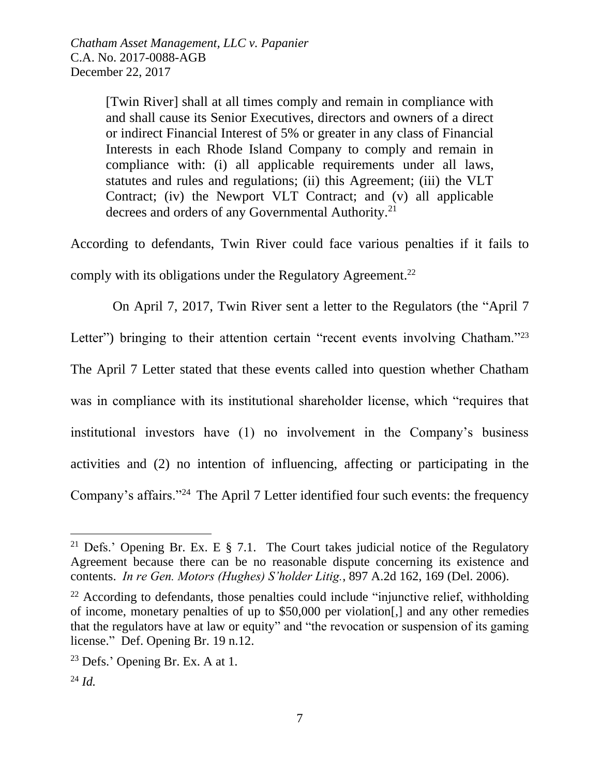[Twin River] shall at all times comply and remain in compliance with and shall cause its Senior Executives, directors and owners of a direct or indirect Financial Interest of 5% or greater in any class of Financial Interests in each Rhode Island Company to comply and remain in compliance with: (i) all applicable requirements under all laws, statutes and rules and regulations; (ii) this Agreement; (iii) the VLT Contract; (iv) the Newport VLT Contract; and (v) all applicable decrees and orders of any Governmental Authority.<sup>21</sup>

According to defendants, Twin River could face various penalties if it fails to comply with its obligations under the Regulatory Agreement.<sup>22</sup>

On April 7, 2017, Twin River sent a letter to the Regulators (the "April 7

Letter") bringing to their attention certain "recent events involving Chatham."<sup>23</sup>

The April 7 Letter stated that these events called into question whether Chatham

was in compliance with its institutional shareholder license, which "requires that

institutional investors have (1) no involvement in the Company's business

activities and (2) no intention of influencing, affecting or participating in the

Company's affairs."<sup>24</sup> The April 7 Letter identified four such events: the frequency

<sup>&</sup>lt;sup>21</sup> Defs.' Opening Br. Ex. E  $\S$  7.1. The Court takes judicial notice of the Regulatory Agreement because there can be no reasonable dispute concerning its existence and contents. *In re Gen. Motors (Hughes) S'holder Litig.*, 897 A.2d 162, 169 (Del. 2006).

 $22$  According to defendants, those penalties could include "injunctive relief, withholding of income, monetary penalties of up to \$50,000 per violation[,] and any other remedies that the regulators have at law or equity" and "the revocation or suspension of its gaming license." Def. Opening Br. 19 n.12.

<sup>23</sup> Defs.' Opening Br. Ex. A at 1.

 $^{24}$  *Id.*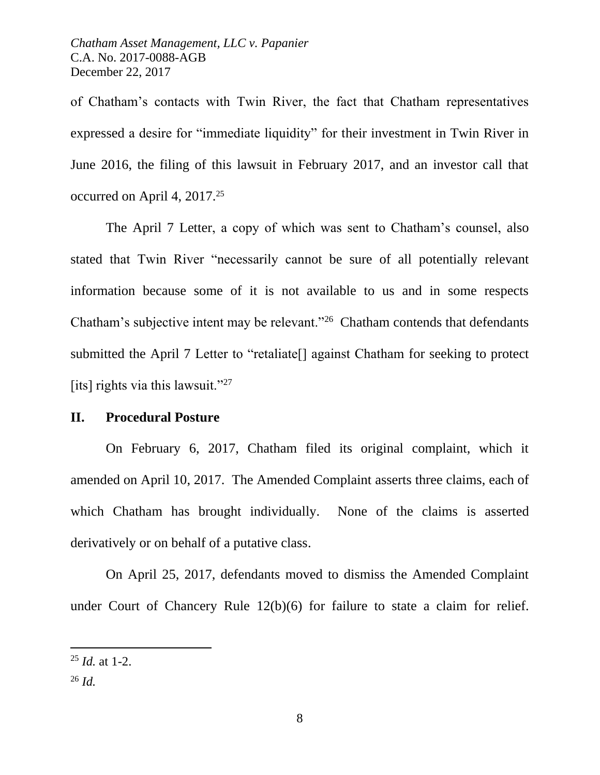of Chatham's contacts with Twin River, the fact that Chatham representatives expressed a desire for "immediate liquidity" for their investment in Twin River in June 2016, the filing of this lawsuit in February 2017, and an investor call that occurred on April 4, 2017.<sup>25</sup>

The April 7 Letter, a copy of which was sent to Chatham's counsel, also stated that Twin River "necessarily cannot be sure of all potentially relevant information because some of it is not available to us and in some respects Chatham's subjective intent may be relevant."<sup>26</sup> Chatham contends that defendants submitted the April 7 Letter to "retaliate[] against Chatham for seeking to protect [its] rights via this lawsuit."<sup>27</sup>

#### **II. Procedural Posture**

On February 6, 2017, Chatham filed its original complaint, which it amended on April 10, 2017. The Amended Complaint asserts three claims, each of which Chatham has brought individually. None of the claims is asserted derivatively or on behalf of a putative class.

On April 25, 2017, defendants moved to dismiss the Amended Complaint under Court of Chancery Rule 12(b)(6) for failure to state a claim for relief.

<sup>25</sup> *Id.* at 1-2.

 $^{26}$  *Id.*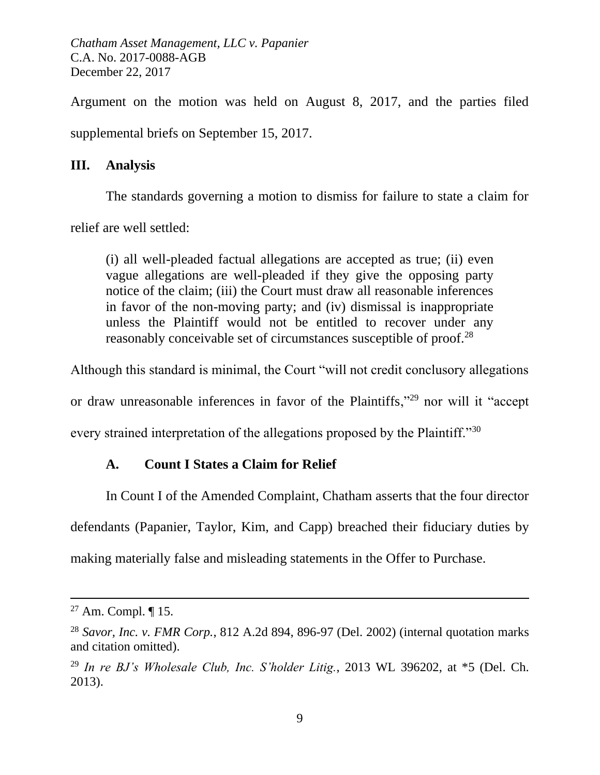Argument on the motion was held on August 8, 2017, and the parties filed supplemental briefs on September 15, 2017.

## **III. Analysis**

The standards governing a motion to dismiss for failure to state a claim for

relief are well settled:

(i) all well-pleaded factual allegations are accepted as true; (ii) even vague allegations are well-pleaded if they give the opposing party notice of the claim; (iii) the Court must draw all reasonable inferences in favor of the non-moving party; and (iv) dismissal is inappropriate unless the Plaintiff would not be entitled to recover under any reasonably conceivable set of circumstances susceptible of proof.<sup>28</sup>

Although this standard is minimal, the Court "will not credit conclusory allegations

or draw unreasonable inferences in favor of the Plaintiffs,"<sup>29</sup> nor will it "accept

every strained interpretation of the allegations proposed by the Plaintiff."30

# **A. Count I States a Claim for Relief**

In Count I of the Amended Complaint, Chatham asserts that the four director

defendants (Papanier, Taylor, Kim, and Capp) breached their fiduciary duties by

making materially false and misleading statements in the Offer to Purchase.

<sup>&</sup>lt;sup>27</sup> Am. Compl.  $\P$  15.

<sup>28</sup> *Savor, Inc. v. FMR Corp.*, 812 A.2d 894, 896-97 (Del. 2002) (internal quotation marks and citation omitted).

<sup>29</sup> *In re BJ's Wholesale Club, Inc. S'holder Litig.*, 2013 WL 396202, at \*5 (Del. Ch. 2013).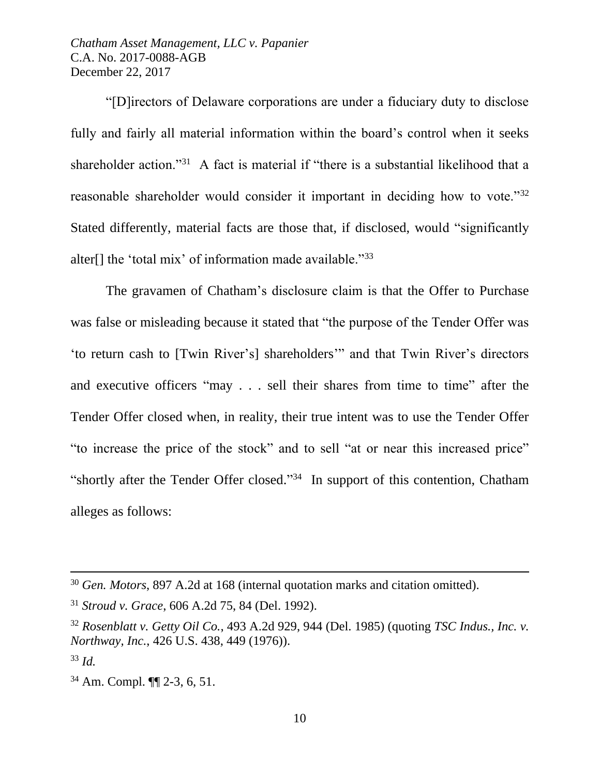"[D]irectors of Delaware corporations are under a fiduciary duty to disclose fully and fairly all material information within the board's control when it seeks shareholder action."<sup>31</sup> A fact is material if "there is a substantial likelihood that a reasonable shareholder would consider it important in deciding how to vote."<sup>32</sup> Stated differently, material facts are those that, if disclosed, would "significantly alter[] the 'total mix' of information made available."<sup>33</sup>

The gravamen of Chatham's disclosure claim is that the Offer to Purchase was false or misleading because it stated that "the purpose of the Tender Offer was 'to return cash to [Twin River's] shareholders'" and that Twin River's directors and executive officers "may . . . sell their shares from time to time" after the Tender Offer closed when, in reality, their true intent was to use the Tender Offer "to increase the price of the stock" and to sell "at or near this increased price" "shortly after the Tender Offer closed."<sup>34</sup> In support of this contention, Chatham alleges as follows:

<sup>30</sup> *Gen. Motors*, 897 A.2d at 168 (internal quotation marks and citation omitted).

<sup>31</sup> *Stroud v. Grace*, 606 A.2d 75, 84 (Del. 1992).

<sup>32</sup> *Rosenblatt v. Getty Oil Co.*, 493 A.2d 929, 944 (Del. 1985) (quoting *TSC Indus., Inc. v. Northway, Inc.*, 426 U.S. 438, 449 (1976)).

<sup>33</sup> *Id.* 

<sup>34</sup> Am. Compl. ¶¶ 2-3, 6, 51.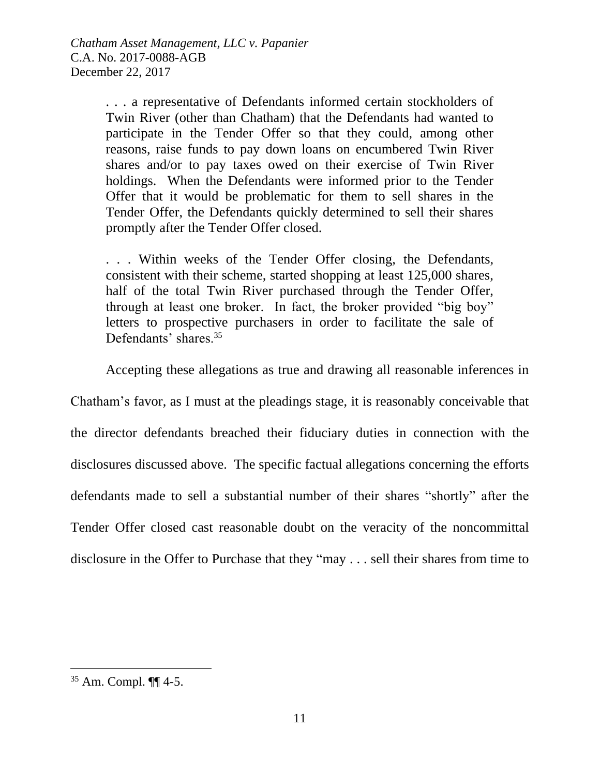. . . a representative of Defendants informed certain stockholders of Twin River (other than Chatham) that the Defendants had wanted to participate in the Tender Offer so that they could, among other reasons, raise funds to pay down loans on encumbered Twin River shares and/or to pay taxes owed on their exercise of Twin River holdings. When the Defendants were informed prior to the Tender Offer that it would be problematic for them to sell shares in the Tender Offer, the Defendants quickly determined to sell their shares promptly after the Tender Offer closed.

. . . Within weeks of the Tender Offer closing, the Defendants, consistent with their scheme, started shopping at least 125,000 shares, half of the total Twin River purchased through the Tender Offer, through at least one broker. In fact, the broker provided "big boy" letters to prospective purchasers in order to facilitate the sale of Defendants' shares.<sup>35</sup>

Accepting these allegations as true and drawing all reasonable inferences in

Chatham's favor, as I must at the pleadings stage, it is reasonably conceivable that the director defendants breached their fiduciary duties in connection with the disclosures discussed above. The specific factual allegations concerning the efforts defendants made to sell a substantial number of their shares "shortly" after the Tender Offer closed cast reasonable doubt on the veracity of the noncommittal disclosure in the Offer to Purchase that they "may . . . sell their shares from time to

<sup>35</sup> Am. Compl. ¶¶ 4-5.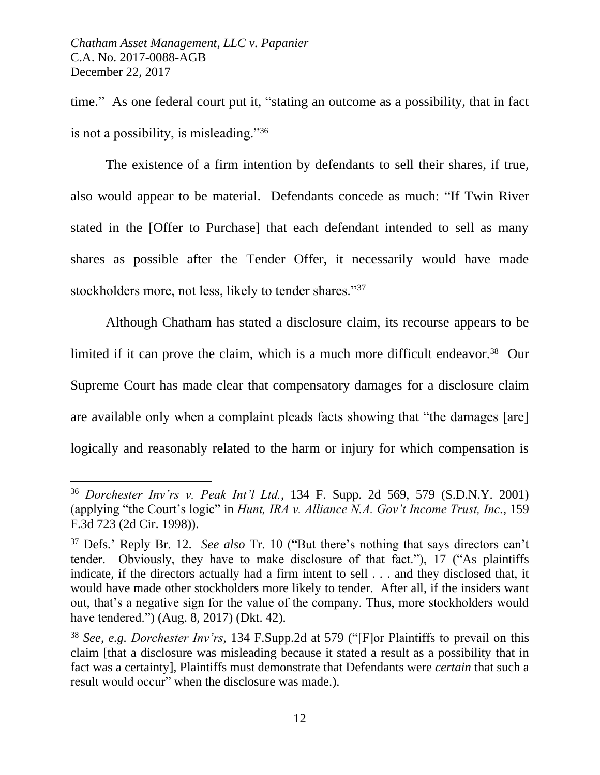time." As one federal court put it, "stating an outcome as a possibility, that in fact is not a possibility, is misleading."<sup>36</sup>

The existence of a firm intention by defendants to sell their shares, if true, also would appear to be material. Defendants concede as much: "If Twin River stated in the [Offer to Purchase] that each defendant intended to sell as many shares as possible after the Tender Offer, it necessarily would have made stockholders more, not less, likely to tender shares."<sup>37</sup>

Although Chatham has stated a disclosure claim, its recourse appears to be limited if it can prove the claim, which is a much more difficult endeavor.<sup>38</sup> Our Supreme Court has made clear that compensatory damages for a disclosure claim are available only when a complaint pleads facts showing that "the damages [are] logically and reasonably related to the harm or injury for which compensation is

<sup>36</sup> *Dorchester Inv'rs v. Peak Int'l Ltd.*, 134 F. Supp. 2d 569, 579 (S.D.N.Y. 2001) (applying "the Court's logic" in *Hunt, IRA v. Alliance N.A. Gov't Income Trust, Inc.*, 159 F.3d 723 (2d Cir. 1998)).

<sup>37</sup> Defs.' Reply Br. 12. *See also* Tr. 10 ("But there's nothing that says directors can't tender. Obviously, they have to make disclosure of that fact."), 17 ("As plaintiffs indicate, if the directors actually had a firm intent to sell . . . and they disclosed that, it would have made other stockholders more likely to tender. After all, if the insiders want out, that's a negative sign for the value of the company. Thus, more stockholders would have tendered.") (Aug. 8, 2017) (Dkt. 42).

<sup>38</sup> *See, e.g. Dorchester Inv'rs*, 134 F.Supp.2d at 579 ("[F]or Plaintiffs to prevail on this claim [that a disclosure was misleading because it stated a result as a possibility that in fact was a certainty], Plaintiffs must demonstrate that Defendants were *certain* that such a result would occur" when the disclosure was made.).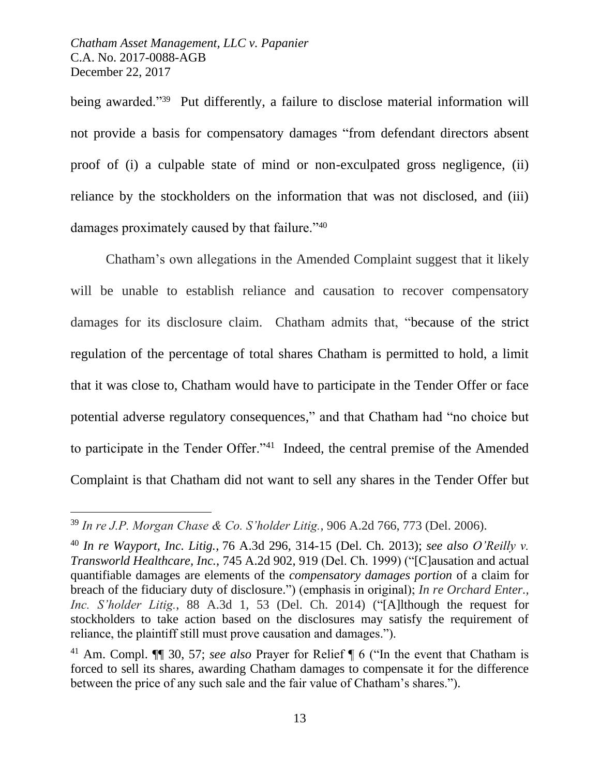$\overline{a}$ 

being awarded."<sup>39</sup> Put differently, a failure to disclose material information will not provide a basis for compensatory damages "from defendant directors absent proof of (i) a culpable state of mind or non-exculpated gross negligence, (ii) reliance by the stockholders on the information that was not disclosed, and (iii) damages proximately caused by that failure."<sup>40</sup>

Chatham's own allegations in the Amended Complaint suggest that it likely will be unable to establish reliance and causation to recover compensatory damages for its disclosure claim. Chatham admits that, "because of the strict regulation of the percentage of total shares Chatham is permitted to hold, a limit that it was close to, Chatham would have to participate in the Tender Offer or face potential adverse regulatory consequences," and that Chatham had "no choice but to participate in the Tender Offer."<sup>41</sup> Indeed, the central premise of the Amended Complaint is that Chatham did not want to sell any shares in the Tender Offer but

<sup>39</sup> *In re J.P. Morgan Chase & Co. S'holder Litig.*, 906 A.2d 766, 773 (Del. 2006).

<sup>40</sup> *In re Wayport, Inc. Litig.*, 76 A.3d 296, 314-15 (Del. Ch. 2013); *see also O'Reilly v. Transworld Healthcare, Inc.*, 745 A.2d 902, 919 (Del. Ch. 1999) ("[C]ausation and actual quantifiable damages are elements of the *compensatory damages portion* of a claim for breach of the fiduciary duty of disclosure.") (emphasis in original); *In re Orchard Enter., Inc. S'holder Litig.*, 88 A.3d 1, 53 (Del. Ch. 2014) ("[A]lthough the request for stockholders to take action based on the disclosures may satisfy the requirement of reliance, the plaintiff still must prove causation and damages.").

<sup>41</sup> Am. Compl. ¶¶ 30, 57; *see also* Prayer for Relief ¶ 6 ("In the event that Chatham is forced to sell its shares, awarding Chatham damages to compensate it for the difference between the price of any such sale and the fair value of Chatham's shares.").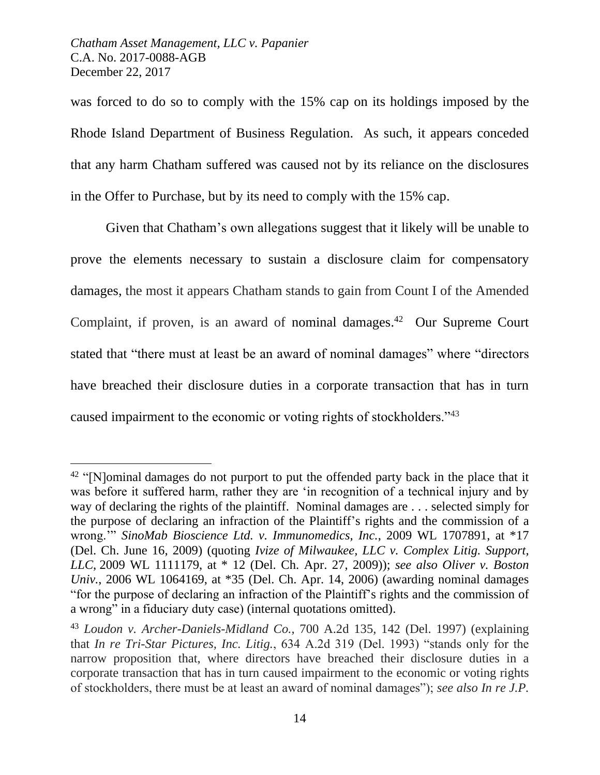$\overline{a}$ 

was forced to do so to comply with the 15% cap on its holdings imposed by the Rhode Island Department of Business Regulation. As such, it appears conceded that any harm Chatham suffered was caused not by its reliance on the disclosures in the Offer to Purchase, but by its need to comply with the 15% cap.

Given that Chatham's own allegations suggest that it likely will be unable to prove the elements necessary to sustain a disclosure claim for compensatory damages, the most it appears Chatham stands to gain from Count I of the Amended Complaint, if proven, is an award of nominal damages.<sup>42</sup> Our Supreme Court stated that "there must at least be an award of nominal damages" where "directors have breached their disclosure duties in a corporate transaction that has in turn caused impairment to the economic or voting rights of stockholders."<sup>43</sup>

 $42$  "[N]ominal damages do not purport to put the offended party back in the place that it was before it suffered harm, rather they are 'in recognition of a technical injury and by way of declaring the rights of the plaintiff. Nominal damages are . . . selected simply for the purpose of declaring an infraction of the Plaintiff's rights and the commission of a wrong.'" *SinoMab Bioscience Ltd. v. Immunomedics, Inc.*, 2009 WL 1707891, at \*17 (Del. Ch. June 16, 2009) (quoting *Ivize of Milwaukee, LLC v. Complex Litig. Support, LLC*, 2009 WL 1111179, at \* 12 (Del. Ch. Apr. 27, 2009)); *see also Oliver v. Boston Univ.*, 2006 WL 1064169, at \*35 (Del. Ch. Apr. 14, 2006) (awarding nominal damages "for the purpose of declaring an infraction of the Plaintiff's rights and the commission of a wrong" in a fiduciary duty case) (internal quotations omitted).

<sup>43</sup> *Loudon v. Archer-Daniels-Midland Co.*, 700 A.2d 135, 142 (Del. 1997) (explaining that *In re Tri-Star Pictures, Inc. Litig.*, 634 A.2d 319 (Del. 1993) "stands only for the narrow proposition that, where directors have breached their disclosure duties in a corporate transaction that has in turn caused impairment to the economic or voting rights of stockholders, there must be at least an award of nominal damages"); *see also In re J.P.*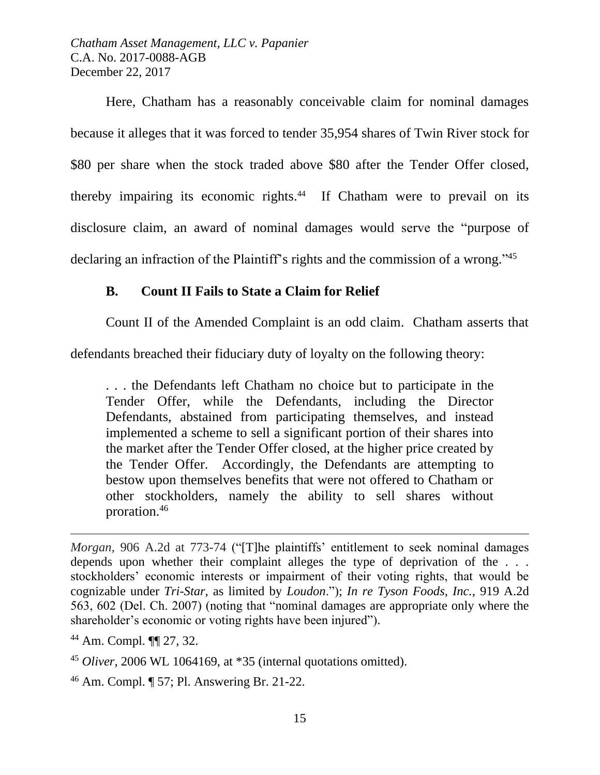Here, Chatham has a reasonably conceivable claim for nominal damages because it alleges that it was forced to tender 35,954 shares of Twin River stock for \$80 per share when the stock traded above \$80 after the Tender Offer closed, thereby impairing its economic rights. 44 If Chatham were to prevail on its disclosure claim, an award of nominal damages would serve the "purpose of declaring an infraction of the Plaintiff's rights and the commission of a wrong."<sup>45</sup>

## **B. Count II Fails to State a Claim for Relief**

Count II of the Amended Complaint is an odd claim. Chatham asserts that

defendants breached their fiduciary duty of loyalty on the following theory:

. . . the Defendants left Chatham no choice but to participate in the Tender Offer, while the Defendants, including the Director Defendants, abstained from participating themselves, and instead implemented a scheme to sell a significant portion of their shares into the market after the Tender Offer closed, at the higher price created by the Tender Offer. Accordingly, the Defendants are attempting to bestow upon themselves benefits that were not offered to Chatham or other stockholders, namely the ability to sell shares without proration.<sup>46</sup>

<sup>44</sup> Am. Compl. ¶¶ 27, 32.

 $\overline{a}$ 

<sup>46</sup> Am. Compl. ¶ 57; Pl. Answering Br. 21-22.

*Morgan*, 906 A.2d at 773-74 ("[T]he plaintiffs' entitlement to seek nominal damages depends upon whether their complaint alleges the type of deprivation of the . . . stockholders' economic interests or impairment of their voting rights, that would be cognizable under *Tri-Star*, as limited by *Loudon*."); *In re Tyson Foods, Inc.*, 919 A.2d 563, 602 (Del. Ch. 2007) (noting that "nominal damages are appropriate only where the shareholder's economic or voting rights have been injured").

<sup>45</sup> *Oliver*, 2006 WL 1064169, at \*35 (internal quotations omitted).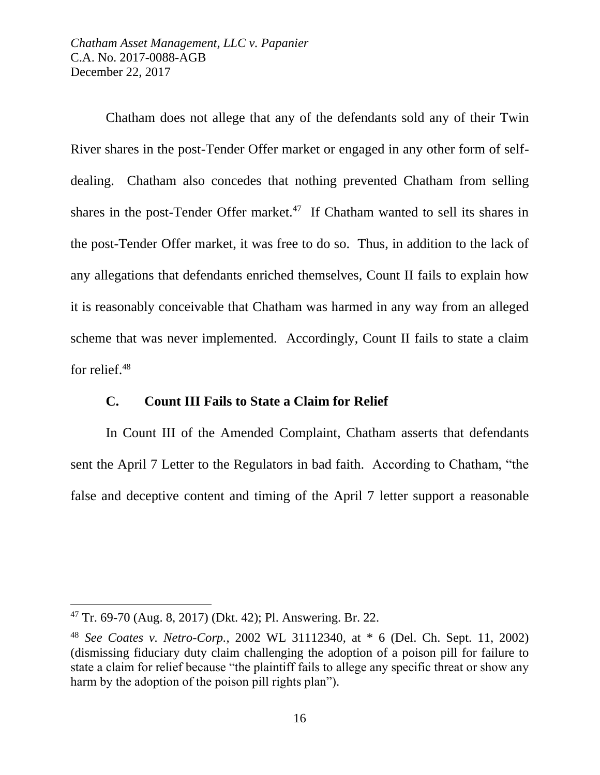Chatham does not allege that any of the defendants sold any of their Twin River shares in the post-Tender Offer market or engaged in any other form of selfdealing. Chatham also concedes that nothing prevented Chatham from selling shares in the post-Tender Offer market.<sup>47</sup> If Chatham wanted to sell its shares in the post-Tender Offer market, it was free to do so. Thus, in addition to the lack of any allegations that defendants enriched themselves, Count II fails to explain how it is reasonably conceivable that Chatham was harmed in any way from an alleged scheme that was never implemented. Accordingly, Count II fails to state a claim for relief.<sup>48</sup>

#### **C. Count III Fails to State a Claim for Relief**

In Count III of the Amended Complaint, Chatham asserts that defendants sent the April 7 Letter to the Regulators in bad faith. According to Chatham, "the false and deceptive content and timing of the April 7 letter support a reasonable

<sup>47</sup> Tr. 69-70 (Aug. 8, 2017) (Dkt. 42); Pl. Answering. Br. 22.

<sup>48</sup> *See Coates v. Netro-Corp.*, 2002 WL 31112340, at \* 6 (Del. Ch. Sept. 11, 2002) (dismissing fiduciary duty claim challenging the adoption of a poison pill for failure to state a claim for relief because "the plaintiff fails to allege any specific threat or show any harm by the adoption of the poison pill rights plan").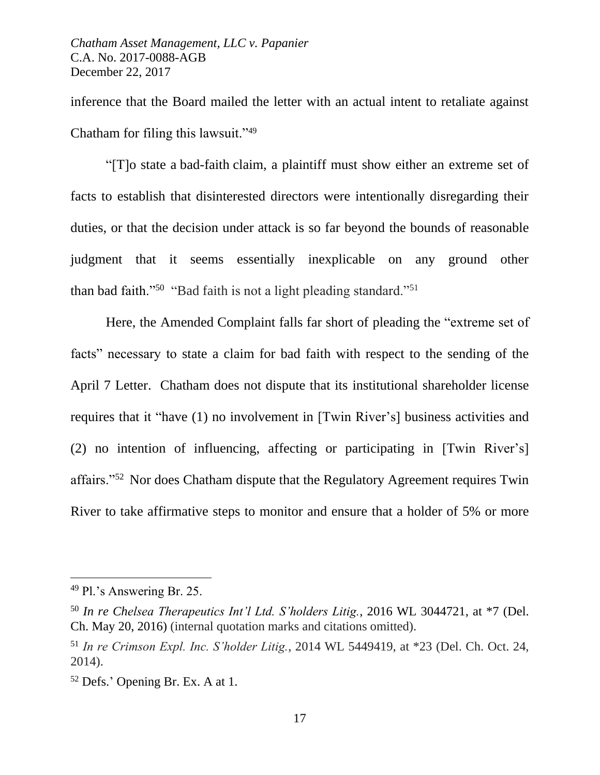inference that the Board mailed the letter with an actual intent to retaliate against Chatham for filing this lawsuit."<sup>49</sup>

"[T]o state a bad-faith claim, a plaintiff must show either an extreme set of facts to establish that disinterested directors were intentionally disregarding their duties, or that the decision under attack is so far beyond the bounds of reasonable judgment that it seems essentially inexplicable on any ground other than bad faith."<sup>50</sup> "Bad faith is not a light pleading standard."<sup>51</sup>

Here, the Amended Complaint falls far short of pleading the "extreme set of facts" necessary to state a claim for bad faith with respect to the sending of the April 7 Letter. Chatham does not dispute that its institutional shareholder license requires that it "have (1) no involvement in [Twin River's] business activities and (2) no intention of influencing, affecting or participating in [Twin River's] affairs."<sup>52</sup> Nor does Chatham dispute that the Regulatory Agreement requires Twin River to take affirmative steps to monitor and ensure that a holder of 5% or more

<sup>49</sup> Pl.'s Answering Br. 25.

<sup>50</sup> *In re Chelsea Therapeutics Int'l Ltd. S'holders Litig.*, 2016 WL 3044721, at \*7 (Del. Ch. May 20, 2016) (internal quotation marks and citations omitted).

<sup>51</sup> *In re Crimson Expl. Inc. S'holder Litig.*, 2014 WL 5449419, at \*23 (Del. Ch. Oct. 24, 2014).

<sup>52</sup> Defs.' Opening Br. Ex. A at 1.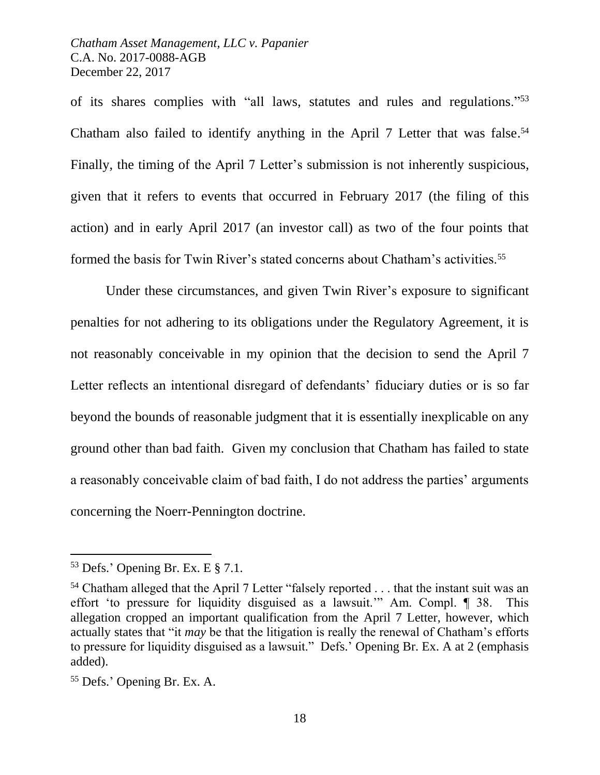of its shares complies with "all laws, statutes and rules and regulations."<sup>53</sup> Chatham also failed to identify anything in the April 7 Letter that was false. 54 Finally, the timing of the April 7 Letter's submission is not inherently suspicious, given that it refers to events that occurred in February 2017 (the filing of this action) and in early April 2017 (an investor call) as two of the four points that formed the basis for Twin River's stated concerns about Chatham's activities.<sup>55</sup>

Under these circumstances, and given Twin River's exposure to significant penalties for not adhering to its obligations under the Regulatory Agreement, it is not reasonably conceivable in my opinion that the decision to send the April 7 Letter reflects an intentional disregard of defendants' fiduciary duties or is so far beyond the bounds of reasonable judgment that it is essentially inexplicable on any ground other than bad faith. Given my conclusion that Chatham has failed to state a reasonably conceivable claim of bad faith, I do not address the parties' arguments concerning the Noerr-Pennington doctrine.

 $53$  Defs.' Opening Br. Ex. E  $\S$  7.1.

<sup>&</sup>lt;sup>54</sup> Chatham alleged that the April 7 Letter "falsely reported . . . that the instant suit was an effort 'to pressure for liquidity disguised as a lawsuit.'" Am. Compl. ¶ 38. This allegation cropped an important qualification from the April 7 Letter, however, which actually states that "it *may* be that the litigation is really the renewal of Chatham's efforts to pressure for liquidity disguised as a lawsuit." Defs.' Opening Br. Ex. A at 2 (emphasis added).

<sup>55</sup> Defs.' Opening Br. Ex. A.